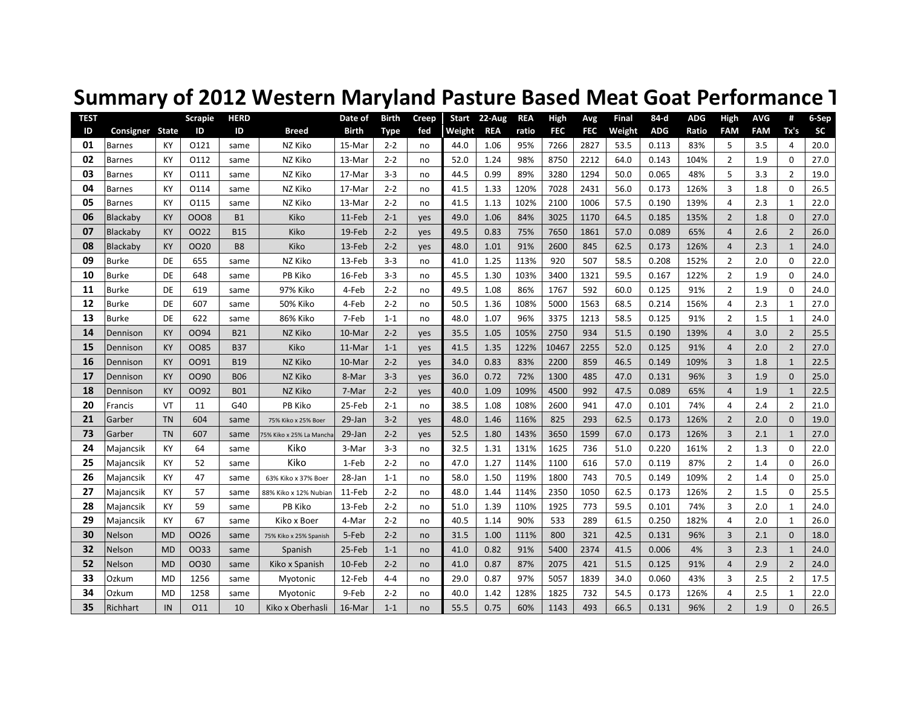| <b>TEST</b><br>ID | Consigner     | State     | <b>Scrapie</b><br>ID | <b>HERD</b><br>ID | <b>Breed</b>            | Date of<br><b>Birth</b> | <b>Birth</b><br><b>Type</b> | Creep<br>fed | Start<br>Weight | $22$ -Aug<br><b>REA</b> | <b>REA</b><br>ratio | High<br><b>FEC</b> | Avg<br><b>FEC</b> | <b>Final</b><br>Weight | 84-d<br><b>ADG</b> | <b>ADG</b><br>Ratio | High<br><b>FAM</b> | <b>AVG</b><br><b>FAM</b> | #<br>Tx's      | 6-Sep<br>SC |
|-------------------|---------------|-----------|----------------------|-------------------|-------------------------|-------------------------|-----------------------------|--------------|-----------------|-------------------------|---------------------|--------------------|-------------------|------------------------|--------------------|---------------------|--------------------|--------------------------|----------------|-------------|
| 01                | <b>Barnes</b> | KY        | 0121                 | same              | NZ Kiko                 | 15-Mar                  | $2 - 2$                     | no           | 44.0            | 1.06                    | 95%                 | 7266               | 2827              | 53.5                   | 0.113              | 83%                 | 5                  | 3.5                      | $\overline{4}$ | 20.0        |
| 02                | <b>Barnes</b> | KY        | 0112                 | same              | NZ Kiko                 | 13-Mar                  | $2 - 2$                     | no           | 52.0            | 1.24                    | 98%                 | 8750               | 2212              | 64.0                   | 0.143              | 104%                | $\overline{2}$     | 1.9                      | $\mathbf 0$    | 27.0        |
| 03                | <b>Barnes</b> | KY        | 0111                 | same              | NZ Kiko                 | 17-Mar                  | $3-3$                       | no           | 44.5            | 0.99                    | 89%                 | 3280               | 1294              | 50.0                   | 0.065              | 48%                 | 5                  | 3.3                      | $\overline{2}$ | 19.0        |
| 04                | <b>Barnes</b> | KY        | 0114                 | same              | NZ Kiko                 | 17-Mar                  | $2 - 2$                     | no           | 41.5            | 1.33                    | 120%                | 7028               | 2431              | 56.0                   | 0.173              | 126%                | 3                  | 1.8                      | $\mathbf 0$    | 26.5        |
| 05                | <b>Barnes</b> | KY        | 0115                 | same              | NZ Kiko                 | 13-Mar                  | $2 - 2$                     | no           | 41.5            | 1.13                    | 102%                | 2100               | 1006              | 57.5                   | 0.190              | 139%                | $\overline{4}$     | 2.3                      | $\mathbf{1}$   | 22.0        |
| 06                | Blackaby      | KY        | 0008                 | <b>B1</b>         | Kiko                    | $11-Feb$                | $2 - 1$                     | yes          | 49.0            | 1.06                    | 84%                 | 3025               | 1170              | 64.5                   | 0.185              | 135%                | $\overline{2}$     | 1.8                      | $\mathbf{0}$   | 27.0        |
| 07                | Blackaby      | KY        | 0022                 | <b>B15</b>        | Kiko                    | 19-Feb                  | $2 - 2$                     | yes          | 49.5            | 0.83                    | 75%                 | 7650               | 1861              | 57.0                   | 0.089              | 65%                 | $\overline{4}$     | 2.6                      | $\overline{2}$ | 26.0        |
| 08                | Blackaby      | <b>KY</b> | 0020                 | B <sub>8</sub>    | Kiko                    | 13-Feb                  | $2 - 2$                     | yes          | 48.0            | 1.01                    | 91%                 | 2600               | 845               | 62.5                   | 0.173              | 126%                | $\overline{4}$     | 2.3                      | $\mathbf{1}$   | 24.0        |
| 09                | <b>Burke</b>  | DE        | 655                  | same              | NZ Kiko                 | 13-Feb                  | $3-3$                       | no           | 41.0            | 1.25                    | 113%                | 920                | 507               | 58.5                   | 0.208              | 152%                | $\overline{2}$     | 2.0                      | $\mathbf 0$    | 22.0        |
| 10                | <b>Burke</b>  | DE        | 648                  | same              | PB Kiko                 | 16-Feb                  | $3-3$                       | no           | 45.5            | 1.30                    | 103%                | 3400               | 1321              | 59.5                   | 0.167              | 122%                | $\overline{2}$     | 1.9                      | $\Omega$       | 24.0        |
| 11                | <b>Burke</b>  | DE        | 619                  | same              | 97% Kiko                | 4-Feb                   | $2 - 2$                     | no           | 49.5            | 1.08                    | 86%                 | 1767               | 592               | 60.0                   | 0.125              | 91%                 | $\overline{2}$     | 1.9                      | $\mathbf 0$    | 24.0        |
| 12                | Burke         | DE        | 607                  | same              | 50% Kiko                | 4-Feb                   | $2 - 2$                     | no           | 50.5            | 1.36                    | 108%                | 5000               | 1563              | 68.5                   | 0.214              | 156%                | $\overline{4}$     | 2.3                      | $\mathbf{1}$   | 27.0        |
| 13                | <b>Burke</b>  | DE        | 622                  | same              | 86% Kiko                | 7-Feb                   | $1 - 1$                     | no           | 48.0            | 1.07                    | 96%                 | 3375               | 1213              | 58.5                   | 0.125              | 91%                 | $\overline{2}$     | 1.5                      | $\mathbf{1}$   | 24.0        |
| 14                | Dennison      | KY        | 0094                 | <b>B21</b>        | NZ Kiko                 | 10-Mar                  | $2 - 2$                     | yes          | 35.5            | 1.05                    | 105%                | 2750               | 934               | 51.5                   | 0.190              | 139%                | $\overline{4}$     | 3.0                      | $\overline{2}$ | 25.5        |
| 15                | Dennison      | <b>KY</b> | 0085                 | <b>B37</b>        | Kiko                    | 11-Mar                  | $1 - 1$                     | yes          | 41.5            | 1.35                    | 122%                | 10467              | 2255              | 52.0                   | 0.125              | 91%                 | $\overline{4}$     | 2.0                      | $\overline{2}$ | 27.0        |
| 16                | Dennison      | <b>KY</b> | 0091                 | <b>B19</b>        | NZ Kiko                 | 10-Mar                  | $2 - 2$                     | yes          | 34.0            | 0.83                    | 83%                 | 2200               | 859               | 46.5                   | 0.149              | 109%                | $\overline{3}$     | 1.8                      | $\mathbf{1}$   | 22.5        |
| 17                | Dennison      | KY        | OO90                 | <b>B06</b>        | NZ Kiko                 | 8-Mar                   | $3 - 3$                     | yes          | 36.0            | 0.72                    | 72%                 | 1300               | 485               | 47.0                   | 0.131              | 96%                 | $\overline{3}$     | 1.9                      | $\mathbf{0}$   | 25.0        |
| 18                | Dennison      | KY        | 0092                 | <b>B01</b>        | NZ Kiko                 | 7-Mar                   | $2 - 2$                     | yes          | 40.0            | 1.09                    | 109%                | 4500               | 992               | 47.5                   | 0.089              | 65%                 | $\overline{4}$     | 1.9                      | $\mathbf{1}$   | 22.5        |
| 20                | Francis       | VT        | 11                   | G40               | PB Kiko                 | 25-Feb                  | $2 - 1$                     | no           | 38.5            | 1.08                    | 108%                | 2600               | 941               | 47.0                   | 0.101              | 74%                 | $\overline{4}$     | 2.4                      | $\overline{2}$ | 21.0        |
| 21                | Garber        | <b>TN</b> | 604                  | same              | 75% Kiko x 25% Boer     | 29-Jan                  | $3 - 2$                     | yes          | 48.0            | 1.46                    | 116%                | 825                | 293               | 62.5                   | 0.173              | 126%                | $\overline{2}$     | 2.0                      | $\mathbf{0}$   | 19.0        |
| 73                | Garber        | <b>TN</b> | 607                  | same              | '5% Kiko x 25% La Manch | 29-Jan                  | $2 - 2$                     | yes          | 52.5            | 1.80                    | 143%                | 3650               | 1599              | 67.0                   | 0.173              | 126%                | $\overline{3}$     | 2.1                      | $\mathbf{1}$   | 27.0        |
| 24                | Majancsik     | KY        | 64                   | same              | Kiko                    | 3-Mar                   | $3-3$                       | no           | 32.5            | 1.31                    | 131%                | 1625               | 736               | 51.0                   | 0.220              | 161%                | $\overline{2}$     | 1.3                      | $\mathbf 0$    | 22.0        |
| 25                | Majancsik     | KY        | 52                   | same              | Kiko                    | 1-Feb                   | $2 - 2$                     | no           | 47.0            | 1.27                    | 114%                | 1100               | 616               | 57.0                   | 0.119              | 87%                 | $\overline{2}$     | 1.4                      | $\mathbf 0$    | 26.0        |
| 26                | Majancsik     | KY        | 47                   | same              | 63% Kiko x 37% Boer     | 28-Jan                  | $1 - 1$                     | no           | 58.0            | 1.50                    | 119%                | 1800               | 743               | 70.5                   | 0.149              | 109%                | $\overline{2}$     | 1.4                      | $\Omega$       | 25.0        |
| 27                | Majancsik     | KY        | 57                   | same              | 88% Kiko x 12% Nubiar   | 11-Feb                  | $2 - 2$                     | no           | 48.0            | 1.44                    | 114%                | 2350               | 1050              | 62.5                   | 0.173              | 126%                | $\overline{2}$     | 1.5                      | $\mathbf 0$    | 25.5        |
| 28                | Majancsik     | KY        | 59                   | same              | PB Kiko                 | 13-Feb                  | $2 - 2$                     | no           | 51.0            | 1.39                    | 110%                | 1925               | 773               | 59.5                   | 0.101              | 74%                 | 3                  | 2.0                      | $\mathbf{1}$   | 24.0        |
| 29                | Majancsik     | KY        | 67                   | same              | Kiko x Boer             | 4-Mar                   | $2 - 2$                     | no           | 40.5            | 1.14                    | 90%                 | 533                | 289               | 61.5                   | 0.250              | 182%                | $\overline{4}$     | 2.0                      | $\mathbf{1}$   | 26.0        |
| 30                | Nelson        | MD        | 0026                 | same              | 75% Kiko x 25% Spanish  | 5-Feb                   | $2 - 2$                     | no           | 31.5            | 1.00                    | 111%                | 800                | 321               | 42.5                   | 0.131              | 96%                 | $\overline{3}$     | 2.1                      | $\mathbf 0$    | 18.0        |
| 32                | Nelson        | MD        | 0033                 | same              | Spanish                 | 25-Feb                  | $1 - 1$                     | no           | 41.0            | 0.82                    | 91%                 | 5400               | 2374              | 41.5                   | 0.006              | 4%                  | $\overline{3}$     | 2.3                      | $\mathbf{1}$   | 24.0        |
| 52                | Nelson        | <b>MD</b> | 0030                 | same              | Kiko x Spanish          | $10$ -Feb               | $2 - 2$                     | no           | 41.0            | 0.87                    | 87%                 | 2075               | 421               | 51.5                   | 0.125              | 91%                 | $\overline{4}$     | 2.9                      | $\overline{2}$ | 24.0        |
| 33                | Ozkum         | MD        | 1256                 | same              | Myotonic                | 12-Feb                  | $4 - 4$                     | no           | 29.0            | 0.87                    | 97%                 | 5057               | 1839              | 34.0                   | 0.060              | 43%                 | 3                  | 2.5                      | $\overline{2}$ | 17.5        |
| 34                | Ozkum         | MD        | 1258                 | same              | Myotonic                | 9-Feb                   | $2 - 2$                     | no           | 40.0            | 1.42                    | 128%                | 1825               | 732               | 54.5                   | 0.173              | 126%                | $\overline{4}$     | 2.5                      | $\mathbf{1}$   | 22.0        |
| 35                | Richhart      | IN        | 011                  | 10                | Kiko x Oberhasli        | 16-Mar                  | $1 - 1$                     | no           | 55.5            | 0.75                    | 60%                 | 1143               | 493               | 66.5                   | 0.131              | 96%                 | $\overline{2}$     | 1.9                      | $\mathbf{0}$   | 26.5        |

## **Summary of 2012 Western Maryland Pasture Based Meat Goat Performance T**